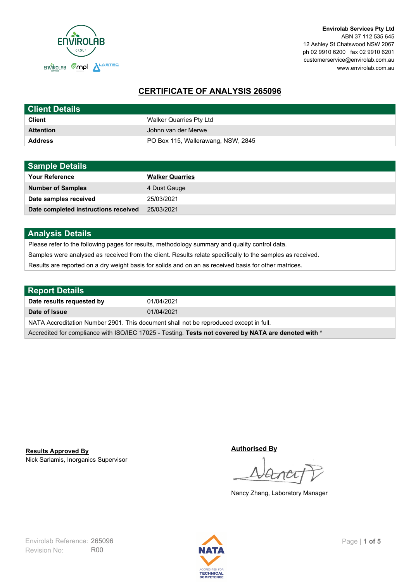

**Envirolab Services Pty Ltd** ABN 37 112 535 645 12 Ashley St Chatswood NSW 2067 ph 02 9910 6200 fax 02 9910 6201 customerservice@envirolab.com.au www.envirolab.com.au

# **CERTIFICATE OF ANALYSIS 265096**

| <b>Client Details</b> |                                    |
|-----------------------|------------------------------------|
| <b>Client</b>         | Walker Quarries Pty Ltd            |
| <b>Attention</b>      | Johnn van der Merwe                |
| <b>Address</b>        | PO Box 115, Wallerawang, NSW, 2845 |

| <b>Sample Details</b>                |                        |
|--------------------------------------|------------------------|
| <b>Your Reference</b>                | <b>Walker Quarries</b> |
| <b>Number of Samples</b>             | 4 Dust Gauge           |
| Date samples received                | 25/03/2021             |
| Date completed instructions received | 25/03/2021             |

## **Analysis Details**

Please refer to the following pages for results, methodology summary and quality control data.

Samples were analysed as received from the client. Results relate specifically to the samples as received.

Results are reported on a dry weight basis for solids and on an as received basis for other matrices.

| <b>Report Details</b>                                                                                |            |  |
|------------------------------------------------------------------------------------------------------|------------|--|
| Date results requested by                                                                            | 01/04/2021 |  |
| Date of Issue                                                                                        | 01/04/2021 |  |
| NATA Accreditation Number 2901. This document shall not be reproduced except in full.                |            |  |
| Accredited for compliance with ISO/IEC 17025 - Testing. Tests not covered by NATA are denoted with * |            |  |

Nick Sarlamis, Inorganics Supervisor **Results Approved By**

**Authorised By**

Nancy Zhang, Laboratory Manager

Revision No: R00 Envirolab Reference: 265096 Page | 1 of 5

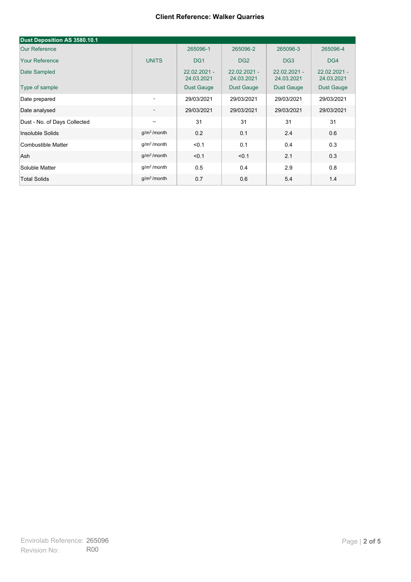| Dust Deposition AS 3580.10.1 |                          |                              |                              |                              |                            |
|------------------------------|--------------------------|------------------------------|------------------------------|------------------------------|----------------------------|
| <b>Our Reference</b>         |                          | 265096-1                     | 265096-2                     | 265096-3                     | 265096-4                   |
| <b>Your Reference</b>        | <b>UNITS</b>             | DG <sub>1</sub>              | DG <sub>2</sub>              | DG <sub>3</sub>              | DG4                        |
| Date Sampled                 |                          | $22.02.2021 -$<br>24.03.2021 | $22.02.2021 -$<br>24.03.2021 | $22.02.2021 -$<br>24.03.2021 | 22.02.2021 -<br>24.03.2021 |
| Type of sample               |                          | <b>Dust Gauge</b>            | <b>Dust Gauge</b>            | <b>Dust Gauge</b>            | Dust Gauge                 |
| Date prepared                | $\overline{\phantom{a}}$ | 29/03/2021                   | 29/03/2021                   | 29/03/2021                   | 29/03/2021                 |
| Date analysed                | $\overline{\phantom{a}}$ | 29/03/2021                   | 29/03/2021                   | 29/03/2021                   | 29/03/2021                 |
| Dust - No. of Days Collected | $\overline{\phantom{a}}$ | 31                           | 31                           | 31                           | 31                         |
| Insoluble Solids             | g/m <sup>2</sup> /month  | 0.2                          | 0.1                          | 2.4                          | 0.6                        |
| Combustible Matter           | g/m <sup>2</sup> /month  | < 0.1                        | 0.1                          | 0.4                          | 0.3                        |
| Ash                          | g/m <sup>2</sup> /month  | < 0.1                        | < 0.1                        | 2.1                          | 0.3                        |
| Soluble Matter               | g/m <sup>2</sup> /month  | 0.5                          | 0.4                          | 2.9                          | 0.8                        |
| <b>Total Solids</b>          | g/m <sup>2</sup> /month  | 0.7                          | 0.6                          | 5.4                          | 1.4                        |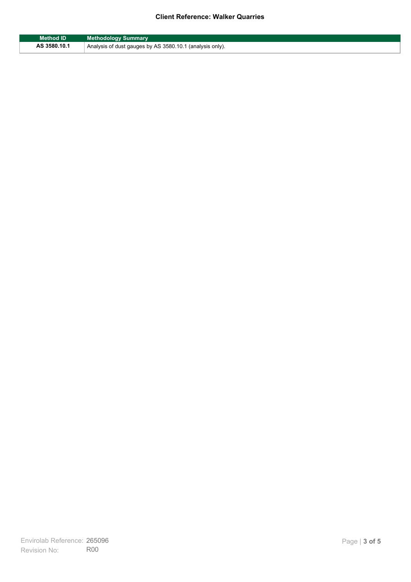| Method ID    | <b>Methodology Summary</b>                               |
|--------------|----------------------------------------------------------|
| AS 3580.10.1 | Analysis of dust gauges by AS 3580.10.1 (analysis only). |

F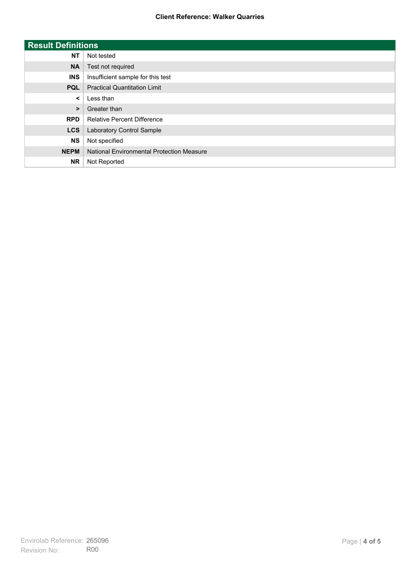| <b>Result Definitions</b> |                                           |
|---------------------------|-------------------------------------------|
| <b>NT</b>                 | Not tested                                |
| <b>NA</b>                 | Test not required                         |
| <b>INS</b>                | Insufficient sample for this test         |
| <b>PQL</b>                | <b>Practical Quantitation Limit</b>       |
| $\prec$                   | Less than                                 |
| $\geq$                    | Greater than                              |
| <b>RPD</b>                | <b>Relative Percent Difference</b>        |
| <b>LCS</b>                | Laboratory Control Sample                 |
| <b>NS</b>                 | Not specified                             |
| <b>NEPM</b>               | National Environmental Protection Measure |
| <b>NR</b>                 | Not Reported                              |